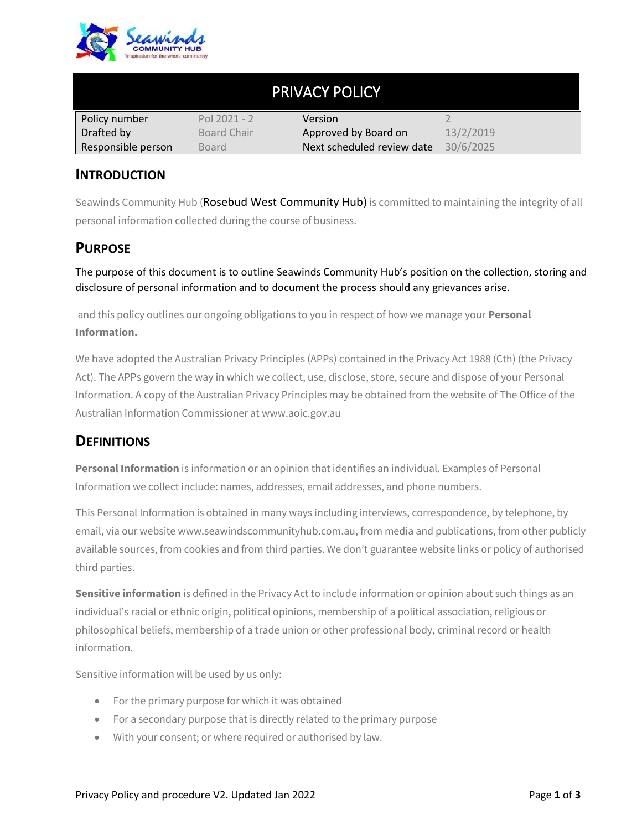

| <b>PRIVACY POLICY</b> |                |                            |           |
|-----------------------|----------------|----------------------------|-----------|
| Policy number         | Pol $2021 - 2$ | <b>Version</b>             |           |
| Drafted by            | Board Chair    | Approved by Board on       | 13/2/2019 |
| Responsible person    | Board          | Next scheduled review date | 30/6/2025 |

#### **INTRODUCTION**

Seawinds Community Hub (Rosebud West Community Hub) is committed to maintaining the integrity of all personal information collected during the course of business.

#### **PURPOSE**

The purpose of this document is to outline Seawinds Community Hub's position on the collection, storing and disclosure of personal information and to document the process should any grievances arise.

and this policy outlines our ongoing obligations to you in respect of how we manage your **Personal Information.**

We have adopted the Australian Privacy Principles (APPs) contained in the Privacy Act 1988 (Cth) (the Privacy Act). The APPs govern the way in which we collect, use, disclose, store, secure and dispose of your Personal Information. A copy of the Australian Privacy Principles may be obtained from the website of The Office of the Australian Information Commissioner at www.aoic.gov.au

#### **DEFINITIONS**

**Personal Information** is information or an opinion that identifies an individual. Examples of Personal Information we collect include: names, addresses, email addresses, and phone numbers.

This Personal Information is obtained in many ways including interviews, correspondence, by telephone, by email, via our website www.seawindscommunityhub.com.au, from media and publications, from other publicly available sources, from cookies and from third parties. We don't guarantee website links or policy of authorised third parties.

**Sensitive information** is defined in the Privacy Act to include information or opinion about such things as an individual's racial or ethnic origin, political opinions, membership of a political association, religious or philosophical beliefs, membership of a trade union or other professional body, criminal record or health information.

Sensitive information will be used by us only:

- For the primary purpose for which it was obtained
- For a secondary purpose that is directly related to the primary purpose
- With your consent; or where required or authorised by law.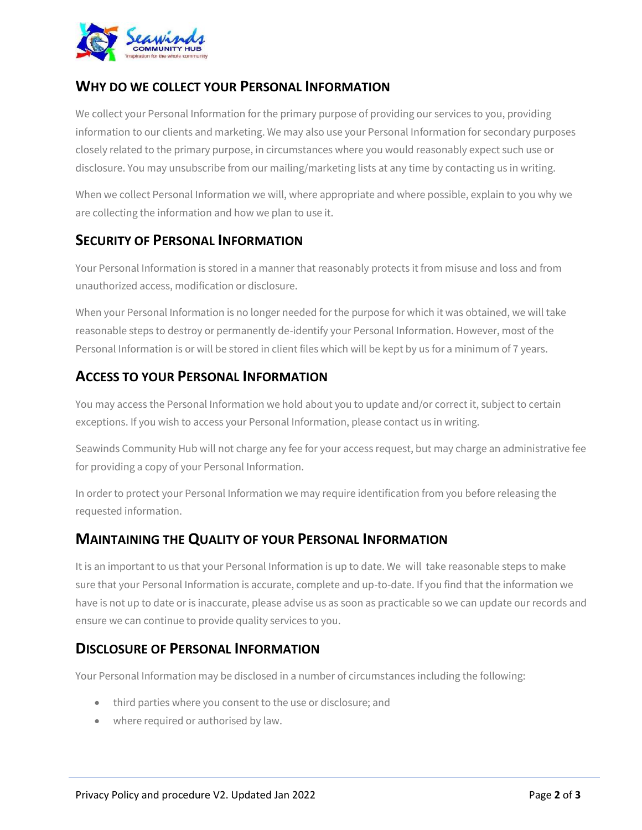

### **WHY DO WE COLLECT YOUR PERSONAL INFORMATION**

We collect your Personal Information for the primary purpose of providing our services to you, providing information to our clients and marketing. We may also use your Personal Information for secondary purposes closely related to the primary purpose, in circumstances where you would reasonably expect such use or disclosure. You may unsubscribe from our mailing/marketing lists at any time by contacting us in writing.

When we collect Personal Information we will, where appropriate and where possible, explain to you why we are collecting the information and how we plan to use it.

#### **SECURITY OF PERSONAL INFORMATION**

Your Personal Information is stored in a manner that reasonably protects it from misuse and loss and from unauthorized access, modification or disclosure.

When your Personal Information is no longer needed for the purpose for which it was obtained, we will take reasonable steps to destroy or permanently de-identify your Personal Information. However, most of the Personal Information is or will be stored in client files which will be kept by us for a minimum of 7 years.

# **ACCESS TO YOUR PERSONAL INFORMATION**

You may access the Personal Information we hold about you to update and/or correct it, subject to certain exceptions. If you wish to access your Personal Information, please contact us in writing.

Seawinds Community Hub will not charge any fee for your access request, but may charge an administrative fee for providing a copy of your Personal Information.

In order to protect your Personal Information we may require identification from you before releasing the requested information.

### **MAINTAINING THE QUALITY OF YOUR PERSONAL INFORMATION**

It is an important to us that your Personal Information is up to date. We will take reasonable steps to make sure that your Personal Information is accurate, complete and up-to-date. If you find that the information we have is not up to date or is inaccurate, please advise us as soon as practicable so we can update our records and ensure we can continue to provide quality services to you.

### **DISCLOSURE OF PERSONAL INFORMATION**

Your Personal Information may be disclosed in a number of circumstances including the following:

- third parties where you consent to the use or disclosure; and
- where required or authorised by law.